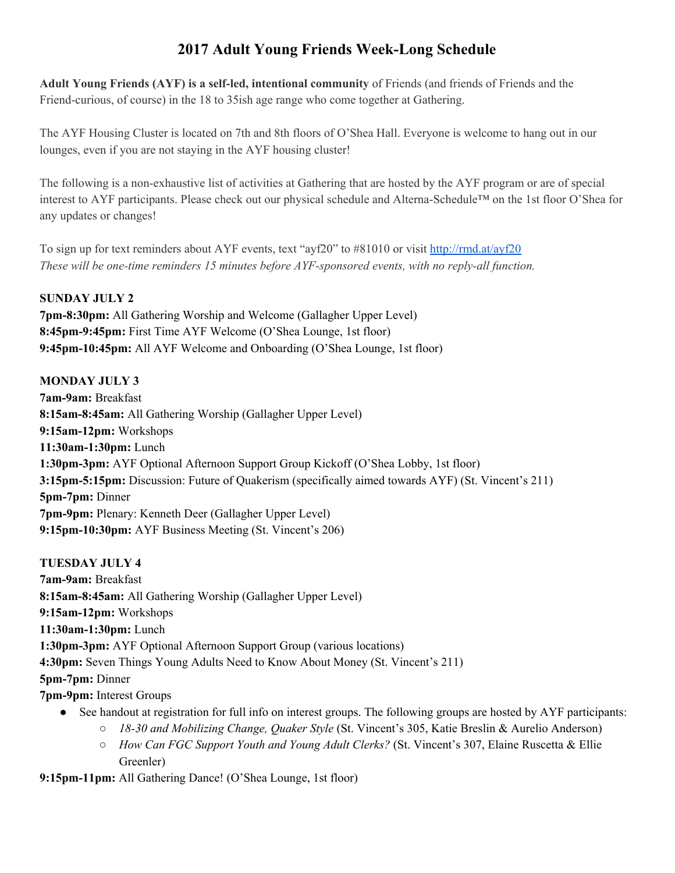# **2017 Adult Young Friends Week-Long Schedule**

**Adult Young Friends (AYF) is a self-led, intentional community** of Friends (and friends of Friends and the Friend-curious, of course) in the 18 to 35ish age range who come together at Gathering.

The AYF Housing Cluster is located on 7th and 8th floors of O'Shea Hall. Everyone is welcome to hang out in our lounges, even if you are not staying in the AYF housing cluster!

The following is a non-exhaustive list of activities at Gathering that are hosted by the AYF program or are of special interest to AYF participants. Please check out our physical schedule and Alterna-Schedule™ on the 1st floor O'Shea for any updates or changes!

To sign up for text reminders about AYF events, text "ayf20" to #81010 or visit <http://rmd.at/ayf20> *These will be one-time reminders 15 minutes before AYF-sponsored events, with no reply-all function.*

#### **SUNDAY JULY 2**

**7pm-8:30pm:** All Gathering Worship and Welcome (Gallagher Upper Level) **8:45pm-9:45pm:** First Time AYF Welcome (O'Shea Lounge, 1st floor) **9:45pm-10:45pm:** All AYF Welcome and Onboarding (O'Shea Lounge, 1st floor)

### **MONDAY JULY 3**

**7am-9am:** Breakfast **8:15am-8:45am:** All Gathering Worship (Gallagher Upper Level) **9:15am-12pm:** Workshops **11:30am-1:30pm:** Lunch **1:30pm-3pm:** AYF Optional Afternoon Support Group Kickoff (O'Shea Lobby, 1st floor) **3:15pm-5:15pm:** Discussion: Future of Quakerism (specifically aimed towards AYF) (St. Vincent's 211) **5pm-7pm:** Dinner **7pm-9pm:** Plenary: Kenneth Deer (Gallagher Upper Level) **9:15pm-10:30pm:** AYF Business Meeting (St. Vincent's 206)

### **TUESDAY JULY 4**

**7am-9am:** Breakfast **8:15am-8:45am:** All Gathering Worship (Gallagher Upper Level) **9:15am-12pm:** Workshops **11:30am-1:30pm:** Lunch **1:30pm-3pm:** AYF Optional Afternoon Support Group (various locations) **4:30pm:** Seven Things Young Adults Need to Know About Money (St. Vincent's 211) **5pm-7pm:** Dinner **7pm-9pm:** Interest Groups

- See handout at registration for full info on interest groups. The following groups are hosted by AYF participants:
	- *18-30 and Mobilizing Change, Quaker Style* (St. Vincent's 305, Katie Breslin & Aurelio Anderson)
	- *How Can FGC Support Youth and Young Adult Clerks?* (St. Vincent's 307, Elaine Ruscetta & Ellie Greenler)

**9:15pm-11pm:** All Gathering Dance! (O'Shea Lounge, 1st floor)